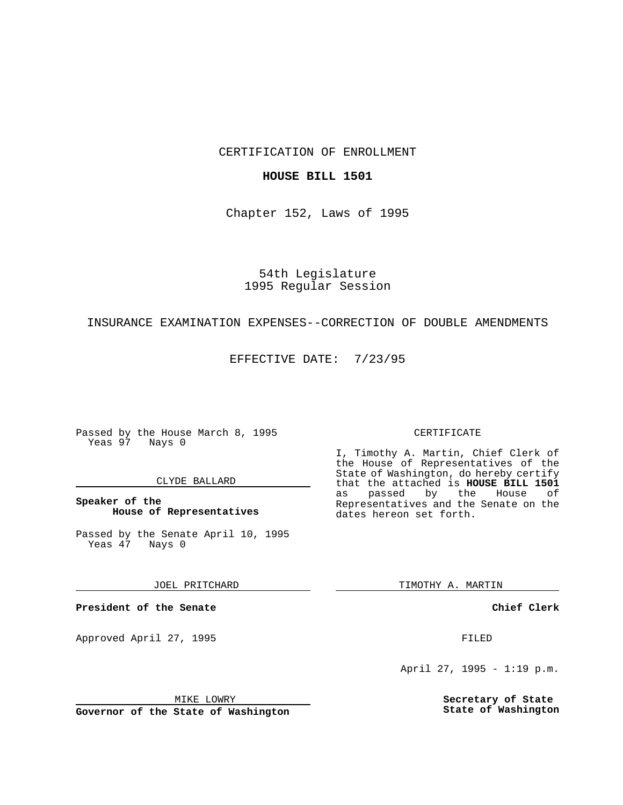CERTIFICATION OF ENROLLMENT

### **HOUSE BILL 1501**

Chapter 152, Laws of 1995

54th Legislature 1995 Regular Session

## INSURANCE EXAMINATION EXPENSES--CORRECTION OF DOUBLE AMENDMENTS

EFFECTIVE DATE: 7/23/95

Passed by the House March 8, 1995 Yeas 97 Nays 0

#### CLYDE BALLARD

**Speaker of the House of Representatives**

Passed by the Senate April 10, 1995<br>Yeas 47 Nays 0 Yeas 47

JOEL PRITCHARD

**President of the Senate**

Approved April 27, 1995 FILED

## MIKE LOWRY

**Governor of the State of Washington**

#### CERTIFICATE

I, Timothy A. Martin, Chief Clerk of the House of Representatives of the State of Washington, do hereby certify that the attached is **HOUSE BILL 1501** as passed by the Representatives and the Senate on the dates hereon set forth.

TIMOTHY A. MARTIN

**Chief Clerk**

April 27, 1995 - 1:19 p.m.

**Secretary of State State of Washington**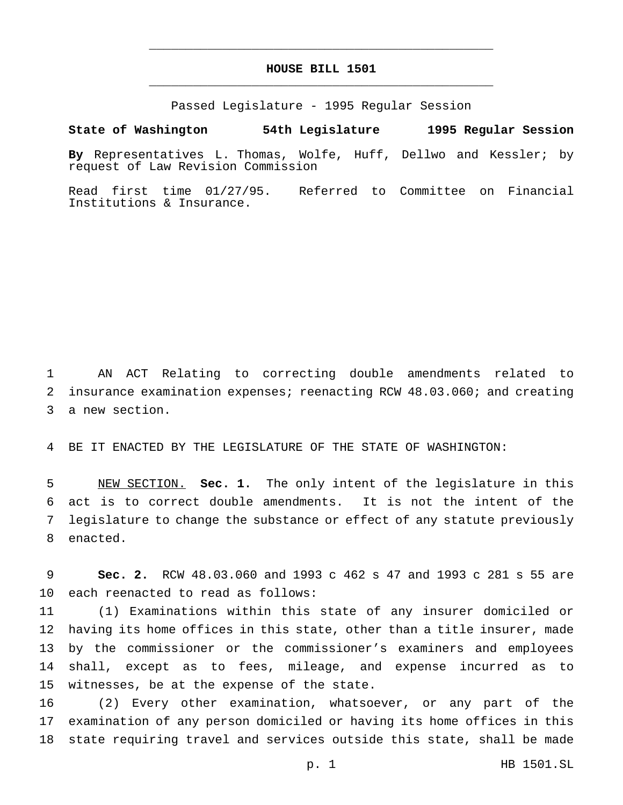# **HOUSE BILL 1501** \_\_\_\_\_\_\_\_\_\_\_\_\_\_\_\_\_\_\_\_\_\_\_\_\_\_\_\_\_\_\_\_\_\_\_\_\_\_\_\_\_\_\_\_\_\_\_

\_\_\_\_\_\_\_\_\_\_\_\_\_\_\_\_\_\_\_\_\_\_\_\_\_\_\_\_\_\_\_\_\_\_\_\_\_\_\_\_\_\_\_\_\_\_\_

Passed Legislature - 1995 Regular Session

#### **State of Washington 54th Legislature 1995 Regular Session**

**By** Representatives L. Thomas, Wolfe, Huff, Dellwo and Kessler; by request of Law Revision Commission

Read first time 01/27/95. Referred to Committee on Financial Institutions & Insurance.

 AN ACT Relating to correcting double amendments related to insurance examination expenses; reenacting RCW 48.03.060; and creating a new section.

BE IT ENACTED BY THE LEGISLATURE OF THE STATE OF WASHINGTON:

 NEW SECTION. **Sec. 1.** The only intent of the legislature in this act is to correct double amendments. It is not the intent of the legislature to change the substance or effect of any statute previously enacted.

 **Sec. 2.** RCW 48.03.060 and 1993 c 462 s 47 and 1993 c 281 s 55 are each reenacted to read as follows:

 (1) Examinations within this state of any insurer domiciled or having its home offices in this state, other than a title insurer, made by the commissioner or the commissioner's examiners and employees shall, except as to fees, mileage, and expense incurred as to witnesses, be at the expense of the state.

 (2) Every other examination, whatsoever, or any part of the examination of any person domiciled or having its home offices in this state requiring travel and services outside this state, shall be made